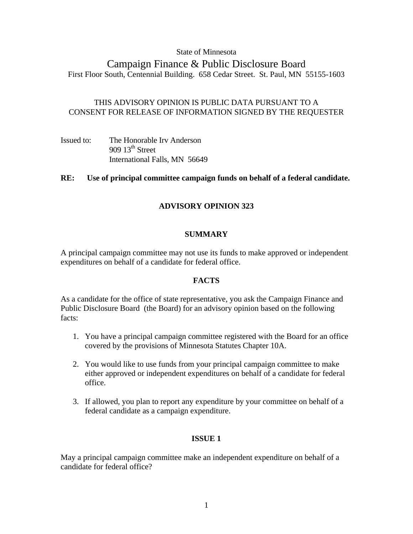### State of Minnesota

# Campaign Finance & Public Disclosure Board First Floor South, Centennial Building. 658 Cedar Street. St. Paul, MN 55155-1603

# THIS ADVISORY OPINION IS PUBLIC DATA PURSUANT TO A CONSENT FOR RELEASE OF INFORMATION SIGNED BY THE REQUESTER

| Issued to: | The Honorable Irv Anderson    |
|------------|-------------------------------|
|            | 909 $13^{\text{th}}$ Street   |
|            | International Falls, MN 56649 |

# **RE: Use of principal committee campaign funds on behalf of a federal candidate.**

# **ADVISORY OPINION 323**

# **SUMMARY**

A principal campaign committee may not use its funds to make approved or independent expenditures on behalf of a candidate for federal office.

### **FACTS**

As a candidate for the office of state representative, you ask the Campaign Finance and Public Disclosure Board (the Board) for an advisory opinion based on the following facts:

- 1. You have a principal campaign committee registered with the Board for an office covered by the provisions of Minnesota Statutes Chapter 10A.
- 2. You would like to use funds from your principal campaign committee to make either approved or independent expenditures on behalf of a candidate for federal office.
- 3. If allowed, you plan to report any expenditure by your committee on behalf of a federal candidate as a campaign expenditure.

### **ISSUE 1**

May a principal campaign committee make an independent expenditure on behalf of a candidate for federal office?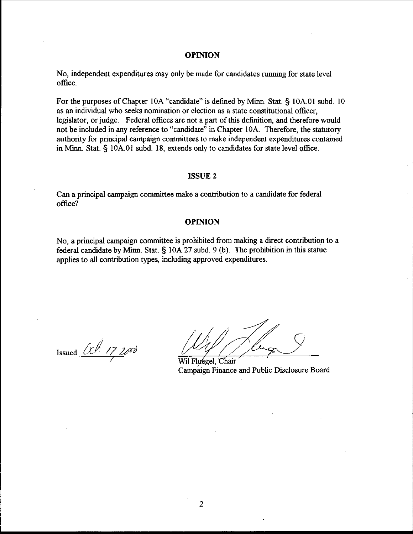#### **OPINION**

No, independent expenditures may only be made for candidates running for state level office.

For the purposes of Chapter 10A "candidate" is defined by Mim. Stat. **9** 10A.O1 subd. 10 as an individual who seeks nomination or election as a state constitutional officer, legislator, or judge. Federal offices are not a part of this definition, and therefore would not be included in any reference to "candidate" in Chapter 10A. Therefore, the statutory authority for principal campaign committees to make independent expenditures contained in **Minn.** Stat. 5 10A.01 subd. 18, extends only to candidates for state level office.

#### **ISSUE 2**

Can a principal campaign committee make a contribution to a candidate for federal office?

#### **OPINION**

No, a principal campaign committee is prohibited from making a direct contribution to a federal candidate by **Minn.** Stat. § 10A.27 subd. 9 (b). The prohibition in this statue applies to all contribution types, including approved expenditures.

Issued  $\frac{U}{V}$ 

Wil Fluegel, Chair Campaign Finance and Public Disclosure Board